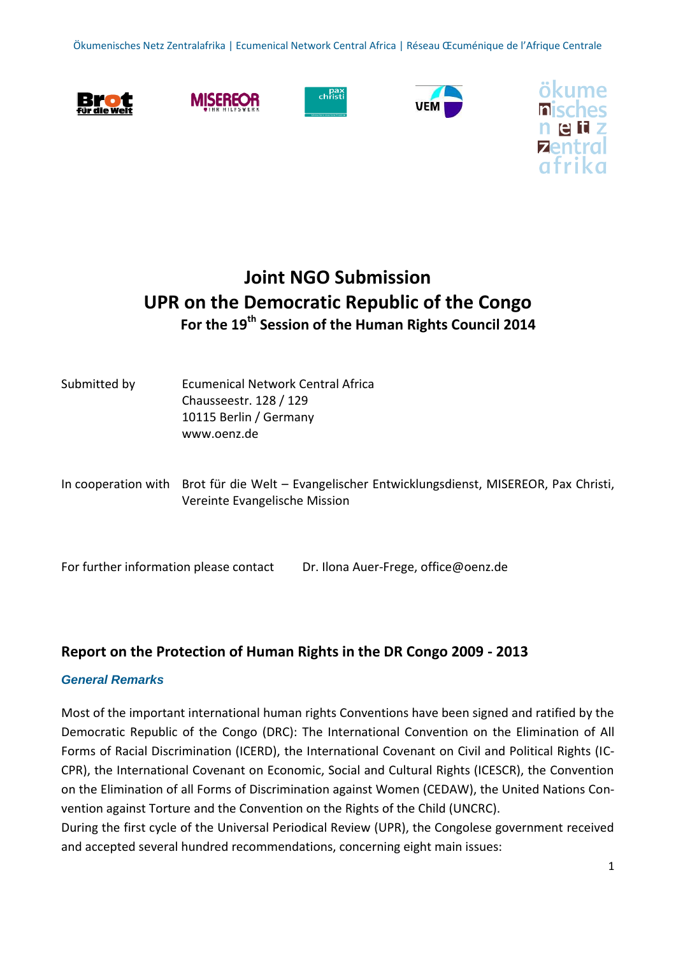Ökumenisches Netz Zentralafrika | Ecumenical Network Central Africa | Réseau Œcuménique de l'Afrique Centrale











# **Joint NGO Submission UPR on the Democratic Republic of the Congo For the 19th Session of the Human Rights Council 2014**

| Submitted by | Ecumenical Network Central Africa<br>Chausseestr. 128 / 129<br>10115 Berlin / Germany<br>www.oenz.de                              |
|--------------|-----------------------------------------------------------------------------------------------------------------------------------|
|              | In cooperation with Brot für die Welt – Evangelischer Entwicklungsdienst, MISEREOR, Pax Christi,<br>Vereinte Evangelische Mission |

For further information please contact Dr. Ilona Auer-Frege, [office@oenz.de](mailto:office@oenz.de)

# **Report on the Protection of Human Rights in the DR Congo 2009 - 2013**

# *General Remarks*

Most of the important international human rights Conventions have been signed and ratified by the Democratic Republic of the Congo (DRC): The International Convention on the Elimination of All Forms of Racial Discrimination (ICERD), the International Covenant on Civil and Political Rights (IC-CPR), the International Covenant on Economic, Social and Cultural Rights (ICESCR), the Convention on the Elimination of all Forms of Discrimination against Women (CEDAW), the United Nations Convention against Torture and the Convention on the Rights of the Child (UNCRC).

During the first cycle of the Universal Periodical Review (UPR), the Congolese government received and accepted several hundred recommendations, concerning eight main issues: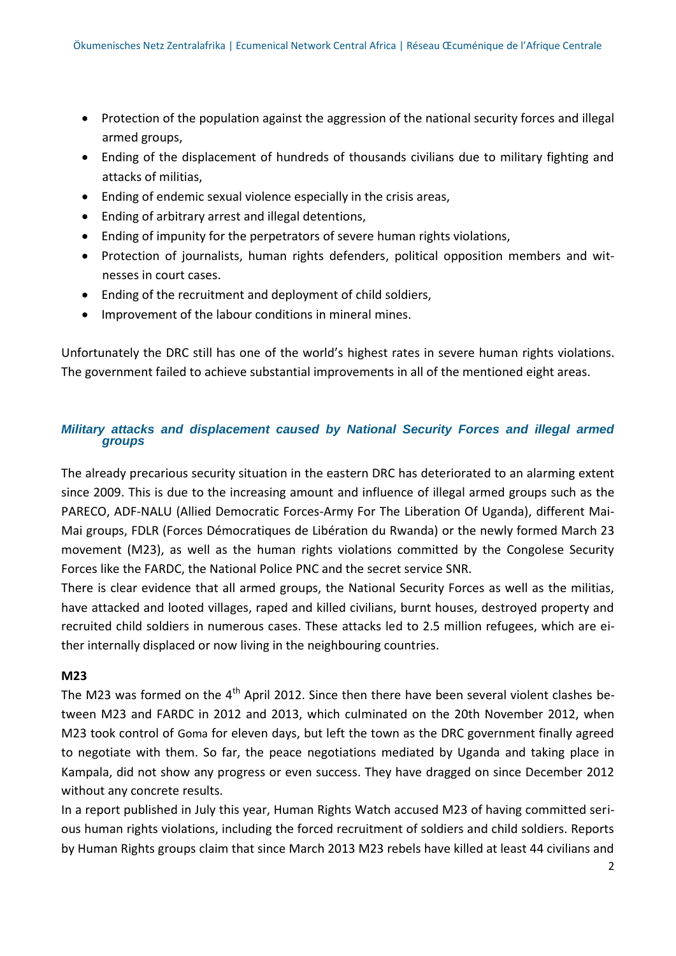- Protection of the population against the aggression of the national security forces and illegal armed groups,
- Ending of the displacement of hundreds of thousands civilians due to military fighting and attacks of militias,
- Ending of endemic sexual violence especially in the crisis areas,
- Ending of arbitrary arrest and illegal detentions,
- Ending of impunity for the perpetrators of severe human rights violations,
- Protection of journalists, human rights defenders, political opposition members and witnesses in court cases.
- Ending of the recruitment and deployment of child soldiers,
- Improvement of the labour conditions in mineral mines.

Unfortunately the DRC still has one of the world's highest rates in severe human rights violations. The government failed to achieve substantial improvements in all of the mentioned eight areas.

## *Military attacks and displacement caused by National Security Forces and illegal armed groups*

The already precarious security situation in the eastern DRC has deteriorated to an alarming extent since 2009. This is due to the increasing amount and influence of illegal armed groups such as the PARECO, ADF-NALU (Allied Democratic Forces-Army For The Liberation Of Uganda), different Mai-Mai groups, FDLR (Forces Démocratiques de Libération du Rwanda) or the newly formed March 23 movement (M23), as well as the human rights violations committed by the Congolese Security Forces like the FARDC, the National Police PNC and the secret service SNR.

There is clear evidence that all armed groups, the National Security Forces as well as the militias, have attacked and looted villages, raped and killed civilians, burnt houses, destroyed property and recruited child soldiers in numerous cases. These attacks led to 2.5 million refugees, which are either internally displaced or now living in the neighbouring countries.

### **M23**

The M23 was formed on the  $4<sup>th</sup>$  April 2012. Since then there have been several violent clashes between M23 and FARDC in 2012 and 2013, which culminated on the 20th November 2012, when M23 took control of [Goma](http://en.wikipedia.org/wiki/Goma) for eleven days, but left the town as the DRC government finally agreed to negotiate with them. So far, the peace negotiations mediated by Uganda and taking place in Kampala, did not show any progress or even success. They have dragged on since December 2012 without any concrete results.

In a report published in July this year, Human Rights Watch accused M23 of having committed serious human rights violations, including the forced recruitment of soldiers and child soldiers. Reports by Human Rights groups claim that since March 2013 M23 rebels have killed at least 44 civilians and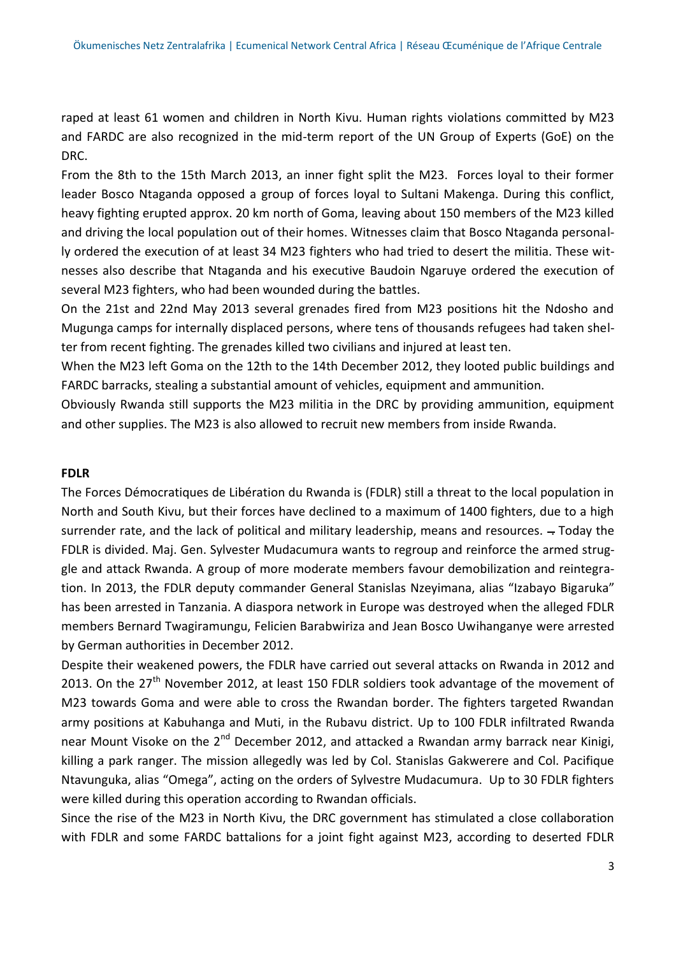raped at least 61 women and children in North Kivu. Human rights violations committed by M23 and FARDC are also recognized in the mid-term report of the UN Group of Experts (GoE) on the DRC.

From the 8th to the 15th March 2013, an inner fight split the M23. Forces loyal to their former leader Bosco Ntaganda opposed a group of forces loyal to Sultani Makenga. During this conflict, heavy fighting erupted approx. 20 km north of Goma, leaving about 150 members of the M23 killed and driving the local population out of their homes. Witnesses claim that Bosco Ntaganda personally ordered the execution of at least 34 M23 fighters who had tried to desert the militia. These witnesses also describe that Ntaganda and his executive Baudoin Ngaruye ordered the execution of several M23 fighters, who had been wounded during the battles.

On the 21st and 22nd May 2013 several grenades fired from M23 positions hit the Ndosho and Mugunga camps for internally displaced persons, where tens of thousands refugees had taken shelter from recent fighting. The grenades killed two civilians and injured at least ten.

When the M23 left Goma on the 12th to the 14th December 2012, they looted public buildings and FARDC barracks, stealing a substantial amount of vehicles, equipment and ammunition.

Obviously Rwanda still supports the M23 militia in the DRC by providing ammunition, equipment and other supplies. The M23 is also allowed to recruit new members from inside Rwanda.

#### **FDLR**

The Forces Démocratiques de Libération du Rwanda is (FDLR) still a threat to the local population in North and South Kivu, but their forces have declined to a maximum of 1400 fighters, due to a high surrender rate, and the lack of political and military leadership, means and resources.  $-$  Today the FDLR is divided. Maj. Gen. Sylvester Mudacumura wants to regroup and reinforce the armed struggle and attack Rwanda. A group of more moderate members favour demobilization and reintegration. In 2013, the FDLR deputy commander General Stanislas Nzeyimana, alias "Izabayo Bigaruka" has been arrested in Tanzania. A diaspora network in Europe was destroyed when the alleged FDLR members Bernard Twagiramungu, Felicien Barabwiriza and Jean Bosco Uwihanganye were arrested by German authorities in December 2012.

Despite their weakened powers, the FDLR have carried out several attacks on Rwanda in 2012 and 2013. On the  $27<sup>th</sup>$  November 2012, at least 150 FDLR soldiers took advantage of the movement of M23 towards Goma and were able to cross the Rwandan border. The fighters targeted Rwandan army positions at Kabuhanga and Muti, in the Rubavu district. Up to 100 FDLR infiltrated Rwanda near Mount Visoke on the  $2^{nd}$  December 2012, and attacked a Rwandan army barrack near Kinigi, killing a park ranger. The mission allegedly was led by Col. Stanislas Gakwerere and Col. Pacifique Ntavunguka, alias "Omega", acting on the orders of Sylvestre Mudacumura. Up to 30 FDLR fighters were killed during this operation according to Rwandan officials.

Since the rise of the M23 in North Kivu, the DRC government has stimulated a close collaboration with FDLR and some FARDC battalions for a joint fight against M23, according to deserted FDLR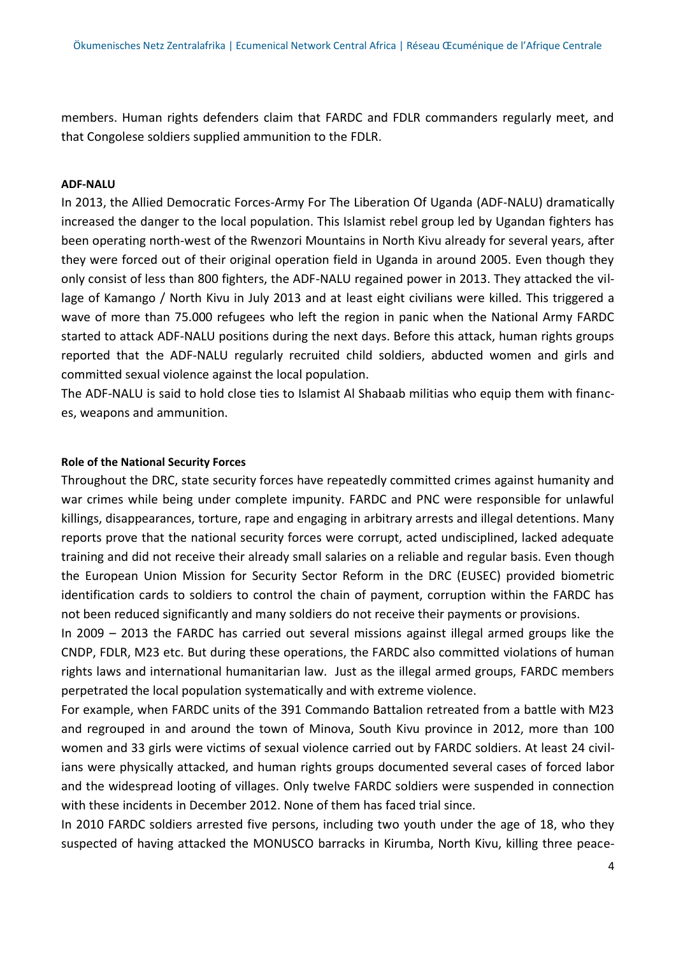members. Human rights defenders claim that FARDC and FDLR commanders regularly meet, and that Congolese soldiers supplied ammunition to the FDLR.

#### **ADF-NALU**

In 2013, the Allied Democratic Forces-Army For The Liberation Of Uganda (ADF-NALU) dramatically increased the danger to the local population. This Islamist rebel group led by Ugandan fighters has been operating north-west of the Rwenzori Mountains in North Kivu already for several years, after they were forced out of their original operation field in Uganda in around 2005. Even though they only consist of less than 800 fighters, the ADF-NALU regained power in 2013. They attacked the village of Kamango / North Kivu in July 2013 and at least eight civilians were killed. This triggered a wave of more than 75.000 refugees who left the region in panic when the National Army FARDC started to attack ADF-NALU positions during the next days. Before this attack, human rights groups reported that the ADF-NALU regularly recruited child soldiers, abducted women and girls and committed sexual violence against the local population.

The ADF-NALU is said to hold close ties to Islamist Al Shabaab militias who equip them with finances, weapons and ammunition.

#### **Role of the National Security Forces**

Throughout the DRC, state security forces have repeatedly committed crimes against humanity and war crimes while being under complete impunity. FARDC and PNC were responsible for unlawful killings, disappearances, torture, rape and engaging in arbitrary arrests and illegal detentions. Many reports prove that the national security forces were corrupt, acted undisciplined, lacked adequate training and did not receive their already small salaries on a reliable and regular basis. Even though the European Union Mission for Security Sector Reform in the DRC (EUSEC) provided biometric identification cards to soldiers to control the chain of payment, corruption within the FARDC has not been reduced significantly and many soldiers do not receive their payments or provisions.

In 2009 – 2013 the FARDC has carried out several missions against illegal armed groups like the CNDP, FDLR, M23 etc. But during these operations, the FARDC also committed violations of human rights laws and international humanitarian law. Just as the illegal armed groups, FARDC members perpetrated the local population systematically and with extreme violence.

For example, when FARDC units of the 391 Commando Battalion retreated from a battle with M23 and regrouped in and around the town of Minova, South Kivu province in 2012, more than 100 women and 33 girls were victims of sexual violence carried out by FARDC soldiers. At least 24 civilians were physically attacked, and human rights groups documented several cases of forced labor and the widespread looting of villages. Only twelve FARDC soldiers were suspended in connection with these incidents in December 2012. None of them has faced trial since.

In 2010 FARDC soldiers arrested five persons, including two youth under the age of 18, who they suspected of having attacked the MONUSCO barracks in Kirumba, North Kivu, killing three peace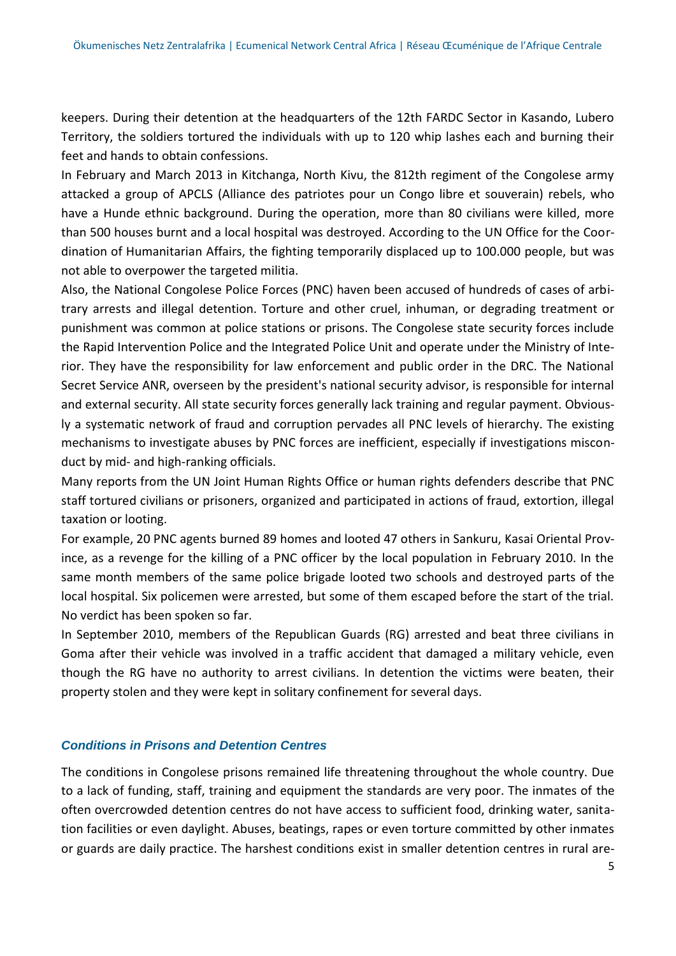keepers. During their detention at the headquarters of the 12th FARDC Sector in Kasando, Lubero Territory, the soldiers tortured the individuals with up to 120 whip lashes each and burning their feet and hands to obtain confessions.

In February and March 2013 in Kitchanga, North Kivu, the 812th regiment of the Congolese army attacked a group of APCLS (Alliance des patriotes pour un Congo libre et souverain) rebels, who have a Hunde ethnic background. During the operation, more than 80 civilians were killed, more than 500 houses burnt and a local hospital was destroyed. According to the UN Office for the Coordination of Humanitarian Affairs, the fighting temporarily displaced up to 100.000 people, but was not able to overpower the targeted militia.

Also, the National Congolese Police Forces (PNC) haven been accused of hundreds of cases of arbitrary arrests and illegal detention. Torture and other cruel, inhuman, or degrading treatment or punishment was common at police stations or prisons. The Congolese state security forces include the Rapid Intervention Police and the Integrated Police Unit and operate under the Ministry of Interior. They have the responsibility for law enforcement and public order in the DRC. The National Secret Service ANR, overseen by the president's national security advisor, is responsible for internal and external security. All state security forces generally lack training and regular payment. Obviously a systematic network of fraud and corruption pervades all PNC levels of hierarchy. The existing mechanisms to investigate abuses by PNC forces are inefficient, especially if investigations misconduct by mid- and high-ranking officials.

Many reports from the UN Joint Human Rights Office or human rights defenders describe that PNC staff tortured civilians or prisoners, organized and participated in actions of fraud, extortion, illegal taxation or looting.

For example, 20 PNC agents burned 89 homes and looted 47 others in Sankuru, Kasai Oriental Province, as a revenge for the killing of a PNC officer by the local population in February 2010. In the same month members of the same police brigade looted two schools and destroyed parts of the local hospital. Six policemen were arrested, but some of them escaped before the start of the trial. No verdict has been spoken so far.

In September 2010, members of the Republican Guards (RG) arrested and beat three civilians in Goma after their vehicle was involved in a traffic accident that damaged a military vehicle, even though the RG have no authority to arrest civilians. In detention the victims were beaten, their property stolen and they were kept in solitary confinement for several days.

### *Conditions in Prisons and Detention Centres*

The conditions in Congolese prisons remained life threatening throughout the whole country. Due to a lack of funding, staff, training and equipment the standards are very poor. The inmates of the often overcrowded detention centres do not have access to sufficient food, drinking water, sanitation facilities or even daylight. Abuses, beatings, rapes or even torture committed by other inmates or guards are daily practice. The harshest conditions exist in smaller detention centres in rural are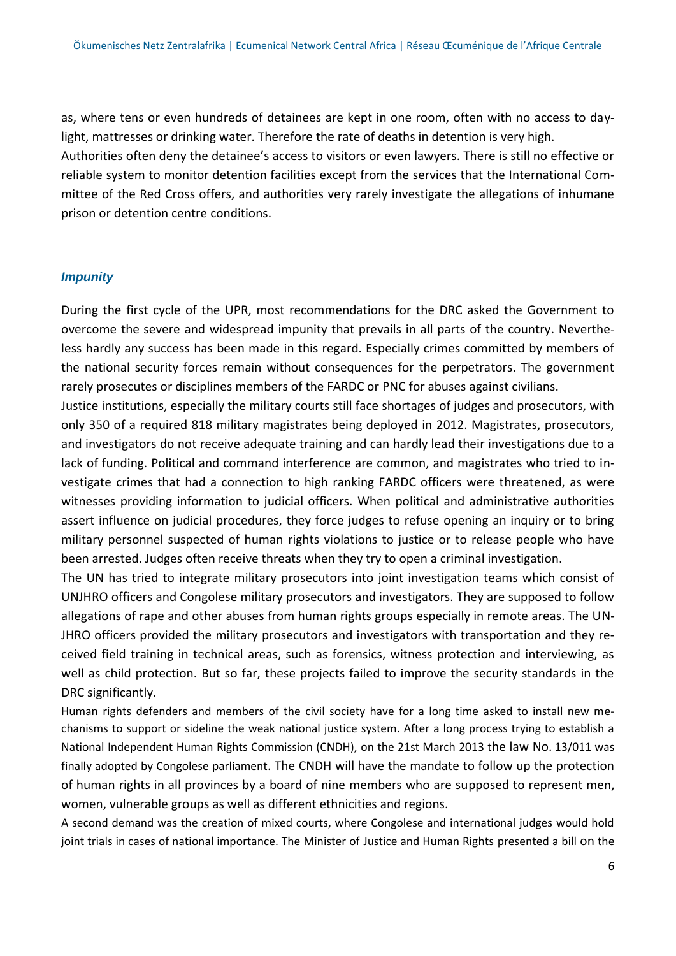as, where tens or even hundreds of detainees are kept in one room, often with no access to daylight, mattresses or drinking water. Therefore the rate of deaths in detention is very high. Authorities often deny the detainee's access to visitors or even lawyers. There is still no effective or reliable system to monitor detention facilities except from the services that the International Committee of the Red Cross offers, and authorities very rarely investigate the allegations of inhumane prison or detention centre conditions.

### *Impunity*

During the first cycle of the UPR, most recommendations for the DRC asked the Government to overcome the severe and widespread impunity that prevails in all parts of the country. Nevertheless hardly any success has been made in this regard. Especially crimes committed by members of the national security forces remain without consequences for the perpetrators. The government rarely prosecutes or disciplines members of the FARDC or PNC for abuses against civilians.

Justice institutions, especially the military courts still face shortages of judges and prosecutors, with only 350 of a required 818 military magistrates being deployed in 2012. Magistrates, prosecutors, and investigators do not receive adequate training and can hardly lead their investigations due to a lack of funding. Political and command interference are common, and magistrates who tried to investigate crimes that had a connection to high ranking FARDC officers were threatened, as were witnesses providing information to judicial officers. When political and administrative authorities assert influence on judicial procedures, they force judges to refuse opening an inquiry or to bring military personnel suspected of human rights violations to justice or to release people who have been arrested. Judges often receive threats when they try to open a criminal investigation.

The UN has tried to integrate military prosecutors into joint investigation teams which consist of UNJHRO officers and Congolese military prosecutors and investigators. They are supposed to follow allegations of rape and other abuses from human rights groups especially in remote areas. The UN-JHRO officers provided the military prosecutors and investigators with transportation and they received field training in technical areas, such as forensics, witness protection and interviewing, as well as child protection. But so far, these projects failed to improve the security standards in the DRC significantly.

Human rights defenders and members of the civil society have for a long time asked to install new mechanisms to support or sideline the weak national justice system. After a long process trying to establish a National Independent Human Rights Commission (CNDH), on the 21st March 2013 the law No. 13/011 was finally adopted by Congolese parliament. The CNDH will have the mandate to follow up the protection of human rights in all provinces by a board of nine members who are supposed to represent men, women, vulnerable groups as well as different ethnicities and regions.

A second demand was the creation of mixed courts, where Congolese and international judges would hold joint trials in cases of national importance. The Minister of Justice and Human Rights presented a bill on the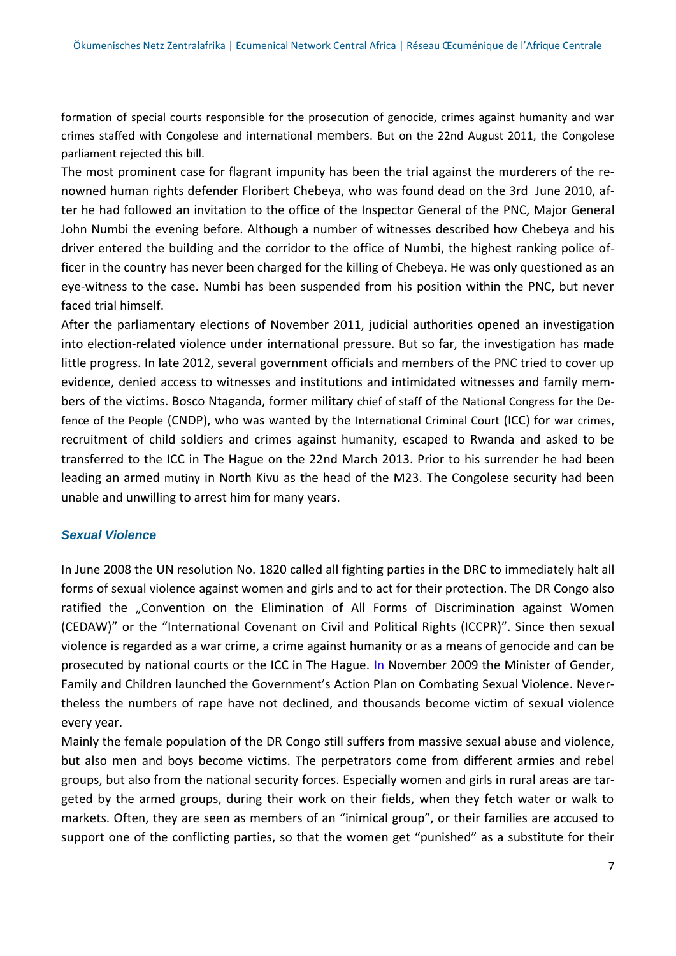formation of special courts responsible for the prosecution of genocide, crimes against humanity and war crimes staffed with Congolese and international members. But on the 22nd August 2011, the Congolese parliament rejected this bill.

The most prominent case for flagrant impunity has been the trial against the murderers of the renowned human rights defender Floribert Chebeya, who was found dead on the 3rd June 2010, after he had followed an invitation to the office of the Inspector General of the PNC, Major General John Numbi the evening before. Although a number of witnesses described how Chebeya and his driver entered the building and the corridor to the office of Numbi, the highest ranking police officer in the country has never been charged for the killing of Chebeya. He was only questioned as an eye-witness to the case. Numbi has been suspended from his position within the PNC, but never faced trial himself.

After the parliamentary elections of November 2011, judicial authorities opened an investigation into election-related violence under international pressure. But so far, the investigation has made little progress. In late 2012, several government officials and members of the PNC tried to cover up evidence, denied access to witnesses and institutions and intimidated witnesses and family members of the victims. Bosco Ntaganda, former military [chief of staff](http://en.wikipedia.org/wiki/Chief_of_staff_(military)) of the [National Congress for the De](http://en.wikipedia.org/wiki/National_Congress_for_the_Defense_of_the_People)[fence of the People](http://en.wikipedia.org/wiki/National_Congress_for_the_Defense_of_the_People) (CNDP), who was wanted by the [International Criminal Court](http://en.wikipedia.org/wiki/International_Criminal_Court) (ICC) for [war crimes](http://en.wikipedia.org/wiki/War_crime), recruitment of child soldiers and crimes against humanity, escaped to Rwanda and asked to be transferred to the ICC in The Hague on the 22nd March 2013. Prior to his surrender he had been leading an armed [mutiny](http://en.wikipedia.org/wiki/2012_East_DR_Congo_conflict) in North Kivu as the head of the M23. The Congolese security had been unable and unwilling to arrest him for many years.

### *Sexual Violence*

In June 2008 the UN resolution No. 1820 called all fighting parties in the DRC to immediately halt all forms of sexual violence against women and girls and to act for their protection. The DR Congo also ratified the "Convention on the Elimination of All Forms of Discrimination against Women (CEDAW)" or the "International Covenant on Civil and Political Rights (ICCPR)". Since then sexual violence is regarded as a war crime, a crime against humanity or as a means of genocide and can be prosecuted by national courts or the ICC in The Hague. In November 2009 the Minister of Gender, Family and Children launched the Government's Action Plan on Combating Sexual Violence. Nevertheless the numbers of rape have not declined, and thousands become victim of sexual violence every year.

Mainly the female population of the DR Congo still suffers from massive sexual abuse and violence, but also men and boys become victims. The perpetrators come from different armies and rebel groups, but also from the national security forces. Especially women and girls in rural areas are targeted by the armed groups, during their work on their fields, when they fetch water or walk to markets. Often, they are seen as members of an "inimical group", or their families are accused to support one of the conflicting parties, so that the women get "punished" as a substitute for their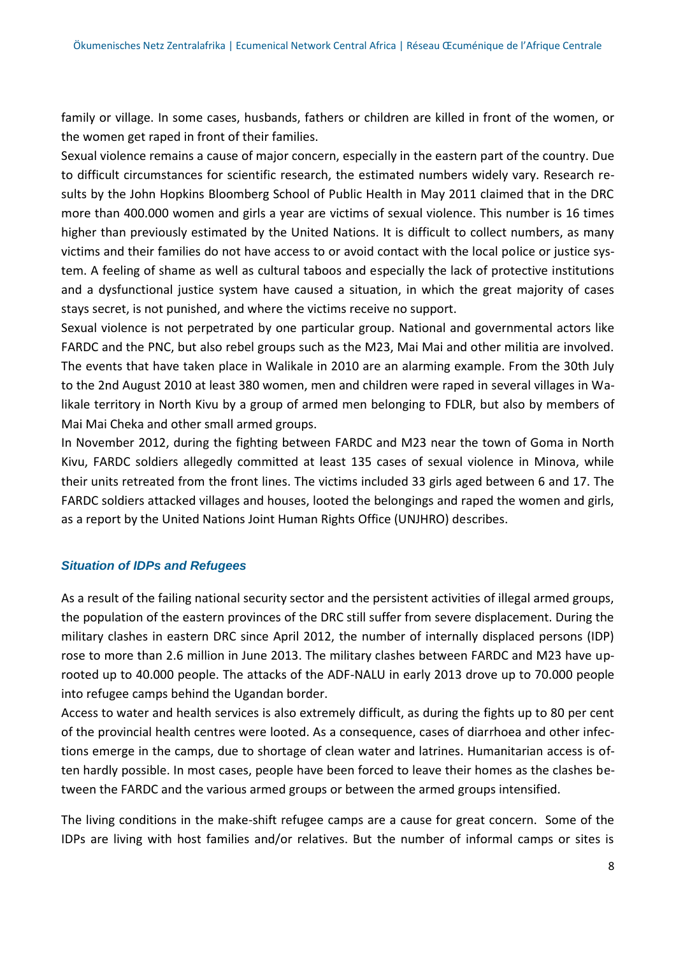family or village. In some cases, husbands, fathers or children are killed in front of the women, or the women get raped in front of their families.

Sexual violence remains a cause of major concern, especially in the eastern part of the country. Due to difficult circumstances for scientific research, the estimated numbers widely vary. Research results by the John Hopkins Bloomberg School of Public Health in May 2011 claimed that in the DRC more than 400.000 women and girls a year are victims of sexual violence. This number is 16 times higher than previously estimated by the United Nations. It is difficult to collect numbers, as many victims and their families do not have access to or avoid contact with the local police or justice system. A feeling of shame as well as cultural taboos and especially the lack of protective institutions and a dysfunctional justice system have caused a situation, in which the great majority of cases stays secret, is not punished, and where the victims receive no support.

Sexual violence is not perpetrated by one particular group. National and governmental actors like FARDC and the PNC, but also rebel groups such as the M23, Mai Mai and other militia are involved. The events that have taken place in Walikale in 2010 are an alarming example. From the 30th July to the 2nd August 2010 at least 380 women, men and children were raped in several villages in Walikale territory in North Kivu by a group of armed men belonging to FDLR, but also by members of Mai Mai Cheka and other small armed groups.

In November 2012, during the fighting between FARDC and M23 near the town of Goma in North Kivu, FARDC soldiers allegedly committed at least 135 cases of sexual violence in Minova, while their units retreated from the front lines. The victims included 33 girls aged between 6 and 17. The FARDC soldiers attacked villages and houses, looted the belongings and raped the women and girls, as a report by the United Nations Joint Human Rights Office (UNJHRO) describes.

### *Situation of IDPs and Refugees*

As a result of the failing national security sector and the persistent activities of illegal armed groups, the population of the eastern provinces of the DRC still suffer from severe displacement. During the military clashes in eastern DRC since April 2012, the number of internally displaced persons (IDP) rose to more than 2.6 million in June 2013. The military clashes between FARDC and M23 have uprooted up to 40.000 people. The attacks of the ADF-NALU in early 2013 drove up to 70.000 people into refugee camps behind the Ugandan border.

Access to water and health services is also extremely difficult, as during the fights up to 80 per cent of the provincial health centres were looted. As a consequence, cases of diarrhoea and other infections emerge in the camps, due to shortage of clean water and latrines. Humanitarian access is often hardly possible. In most cases, people have been forced to leave their homes as the clashes between the FARDC and the various armed groups or between the armed groups intensified.

The living conditions in the make-shift refugee camps are a cause for great concern. Some of the IDPs are living with host families and/or relatives. But the number of informal camps or sites is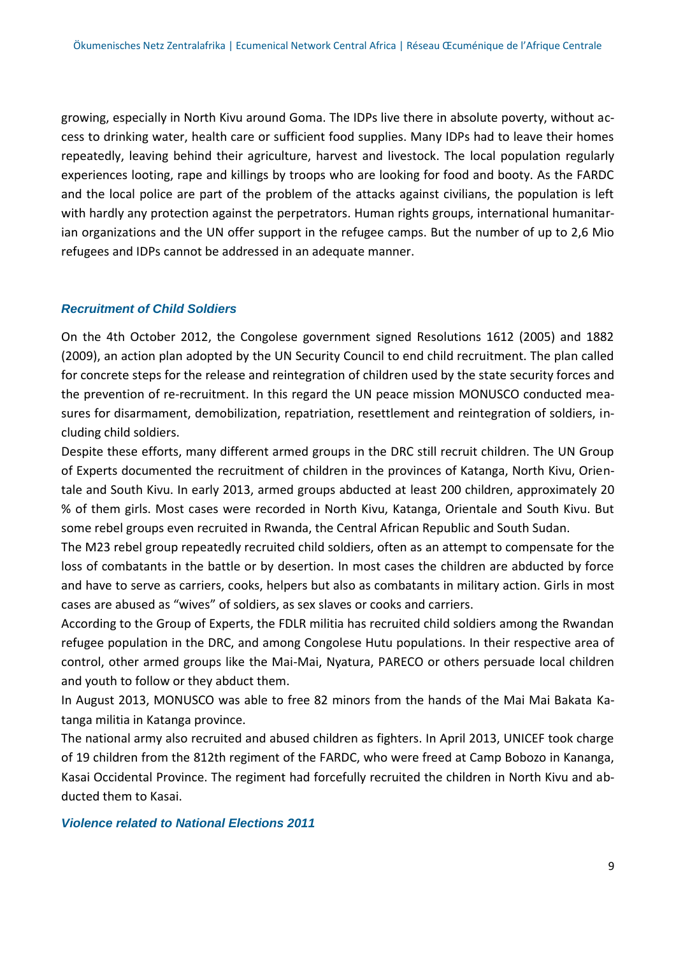growing, especially in North Kivu around Goma. The IDPs live there in absolute poverty, without access to drinking water, health care or sufficient food supplies. Many IDPs had to leave their homes repeatedly, leaving behind their agriculture, harvest and livestock. The local population regularly experiences looting, rape and killings by troops who are looking for food and booty. As the FARDC and the local police are part of the problem of the attacks against civilians, the population is left with hardly any protection against the perpetrators. Human rights groups, international humanitarian organizations and the UN offer support in the refugee camps. But the number of up to 2,6 Mio refugees and IDPs cannot be addressed in an adequate manner.

#### *Recruitment of Child Soldiers*

On the 4th October 2012, the Congolese government signed Resolutions 1612 (2005) and 1882 (2009), an action plan adopted by the UN Security Council to end child recruitment. The plan called for concrete steps for the release and reintegration of children used by the state security forces and the prevention of re-recruitment. In this regard the UN peace mission MONUSCO conducted measures for disarmament, demobilization, repatriation, resettlement and reintegration of soldiers, including child soldiers.

Despite these efforts, many different armed groups in the DRC still recruit children. The UN Group of Experts documented the recruitment of children in the provinces of Katanga, North Kivu, Orientale and South Kivu. In early 2013, armed groups abducted at least 200 children, approximately 20 % of them girls. Most cases were recorded in North Kivu, Katanga, Orientale and South Kivu. But some rebel groups even recruited in Rwanda, the Central African Republic and South Sudan.

The M23 rebel group repeatedly recruited child soldiers, often as an attempt to compensate for the loss of combatants in the battle or by desertion. In most cases the children are abducted by force and have to serve as carriers, cooks, helpers but also as combatants in military action. Girls in most cases are abused as "wives" of soldiers, as sex slaves or cooks and carriers.

According to the Group of Experts, the FDLR militia has recruited child soldiers among the Rwandan refugee population in the DRC, and among Congolese Hutu populations. In their respective area of control, other armed groups like the Mai-Mai, Nyatura, PARECO or others persuade local children and youth to follow or they abduct them.

In August 2013, MONUSCO was able to free 82 minors from the hands of the Mai Mai Bakata Katanga militia in Katanga province.

The national army also recruited and abused children as fighters. In April 2013, UNICEF took charge of 19 children from the 812th regiment of the FARDC, who were freed at Camp Bobozo in Kananga, Kasai Occidental Province. The regiment had forcefully recruited the children in North Kivu and abducted them to Kasai.

#### *Violence related to National Elections 2011*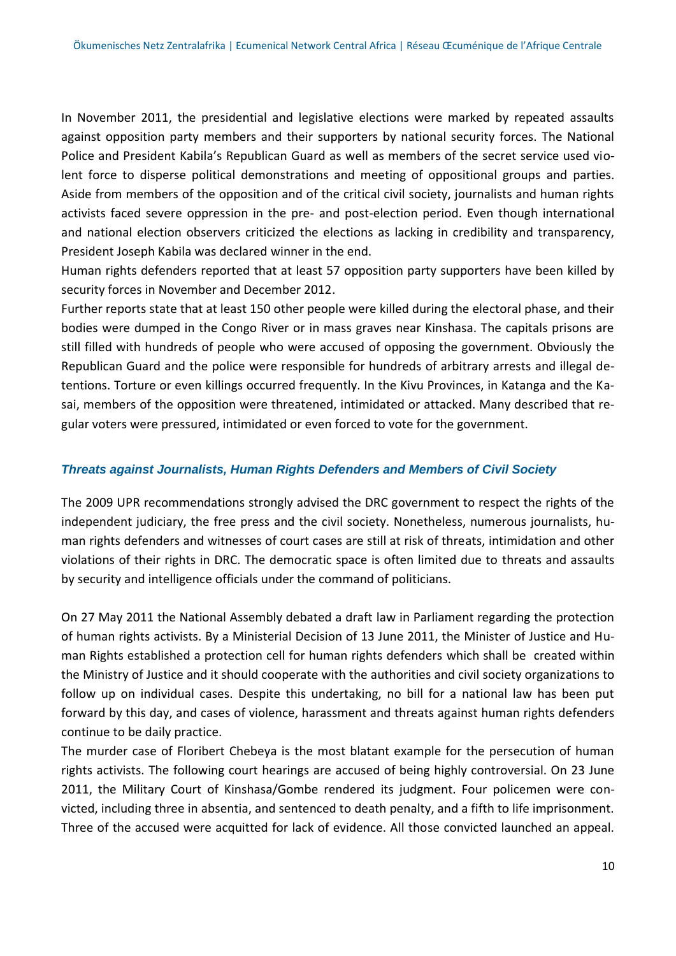In November 2011, the presidential and legislative elections were marked by repeated assaults against opposition party members and their supporters by national security forces. The National Police and President Kabila's Republican Guard as well as members of the secret service used violent force to disperse political demonstrations and meeting of oppositional groups and parties. Aside from members of the opposition and of the critical civil society, journalists and human rights activists faced severe oppression in the pre- and post-election period. Even though international and national election observers criticized the elections as lacking in credibility and transparency, President Joseph Kabila was declared winner in the end.

Human rights defenders reported that at least 57 opposition party supporters have been killed by security forces in November and December 2012.

Further reports state that at least 150 other people were killed during the electoral phase, and their bodies were dumped in the Congo River or in mass graves near Kinshasa. The capitals prisons are still filled with hundreds of people who were accused of opposing the government. Obviously the Republican Guard and the police were responsible for hundreds of arbitrary arrests and illegal detentions. Torture or even killings occurred frequently. In the Kivu Provinces, in Katanga and the Kasai, members of the opposition were threatened, intimidated or attacked. Many described that regular voters were pressured, intimidated or even forced to vote for the government.

### *Threats against Journalists, Human Rights Defenders and Members of Civil Society*

The 2009 UPR recommendations strongly advised the DRC government to respect the rights of the independent judiciary, the free press and the civil society. Nonetheless, numerous journalists, human rights defenders and witnesses of court cases are still at risk of threats, intimidation and other violations of their rights in DRC. The democratic space is often limited due to threats and assaults by security and intelligence officials under the command of politicians.

On 27 May 2011 the National Assembly debated a draft law in Parliament regarding the protection of human rights activists. By a Ministerial Decision of 13 June 2011, the Minister of Justice and Human Rights established a protection cell for human rights defenders which shall be created within the Ministry of Justice and it should cooperate with the authorities and civil society organizations to follow up on individual cases. Despite this undertaking, no bill for a national law has been put forward by this day, and cases of violence, harassment and threats against human rights defenders continue to be daily practice.

The murder case of Floribert Chebeya is the most blatant example for the persecution of human rights activists. The following court hearings are accused of being highly controversial. On 23 June 2011, the Military Court of Kinshasa/Gombe rendered its judgment. Four policemen were convicted, including three in absentia, and sentenced to death penalty, and a fifth to life imprisonment. Three of the accused were acquitted for lack of evidence. All those convicted launched an appeal.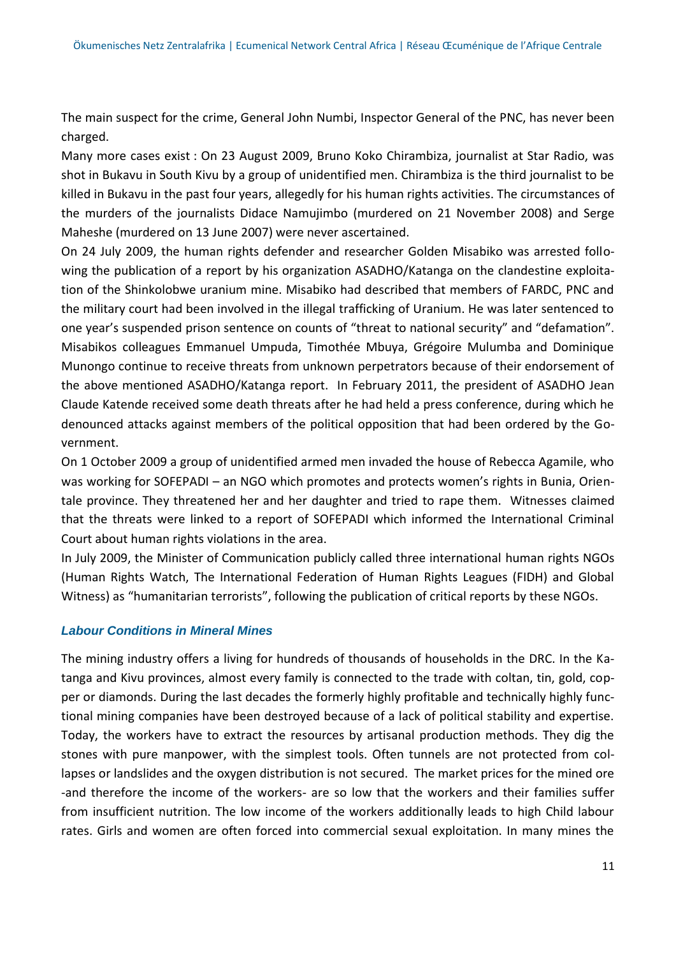The main suspect for the crime, General John Numbi, Inspector General of the PNC, has never been charged.

Many more cases exist : On 23 August 2009, Bruno Koko Chirambiza, journalist at Star Radio, was shot in Bukavu in South Kivu by a group of unidentified men. Chirambiza is the third journalist to be killed in Bukavu in the past four years, allegedly for his human rights activities. The circumstances of the murders of the journalists Didace Namujimbo (murdered on 21 November 2008) and Serge Maheshe (murdered on 13 June 2007) were never ascertained.

On 24 July 2009, the human rights defender and researcher Golden Misabiko was arrested following the publication of a report by his organization ASADHO/Katanga on the clandestine exploitation of the Shinkolobwe uranium mine. Misabiko had described that members of FARDC, PNC and the military court had been involved in the illegal trafficking of Uranium. He was later sentenced to one year's suspended prison sentence on counts of "threat to national security" and "defamation". Misabikos colleagues Emmanuel Umpuda, Timothée Mbuya, Grégoire Mulumba and Dominique Munongo continue to receive threats from unknown perpetrators because of their endorsement of the above mentioned ASADHO/Katanga report. In February 2011, the president of ASADHO Jean Claude Katende received some death threats after he had held a press conference, during which he denounced attacks against members of the political opposition that had been ordered by the Government.

On 1 October 2009 a group of unidentified armed men invaded the house of Rebecca Agamile, who was working for SOFEPADI – an NGO which promotes and protects women's rights in Bunia, Orientale province. They threatened her and her daughter and tried to rape them. Witnesses claimed that the threats were linked to a report of SOFEPADI which informed the International Criminal Court about human rights violations in the area.

In July 2009, the Minister of Communication publicly called three international human rights NGOs (Human Rights Watch, The International Federation of Human Rights Leagues (FIDH) and Global Witness) as "humanitarian terrorists", following the publication of critical reports by these NGOs.

### *Labour Conditions in Mineral Mines*

The mining industry offers a living for hundreds of thousands of households in the DRC. In the Katanga and Kivu provinces, almost every family is connected to the trade with coltan, tin, gold, copper or diamonds. During the last decades the formerly highly profitable and technically highly functional mining companies have been destroyed because of a lack of political stability and expertise. Today, the workers have to extract the resources by artisanal production methods. They dig the stones with pure manpower, with the simplest tools. Often tunnels are not protected from collapses or landslides and the oxygen distribution is not secured. The market prices for the mined ore -and therefore the income of the workers- are so low that the workers and their families suffer from insufficient nutrition. The low income of the workers additionally leads to high Child labour rates. Girls and women are often forced into commercial sexual exploitation. In many mines the